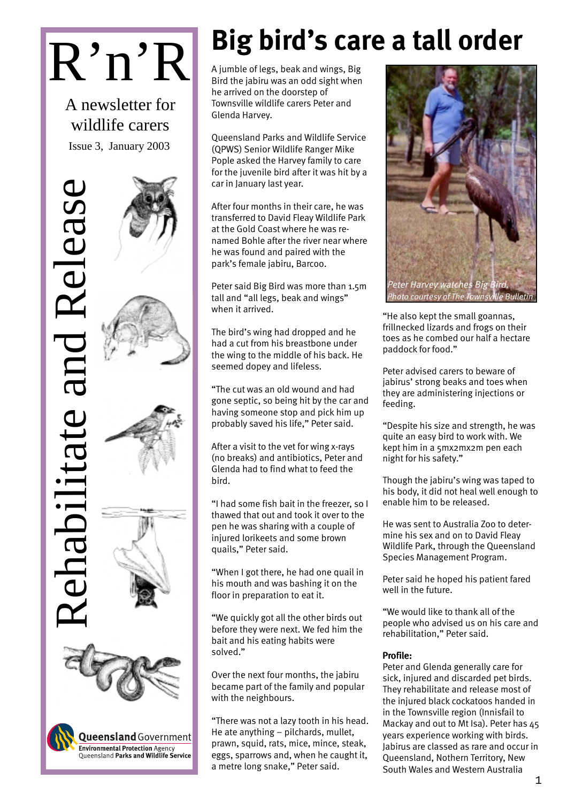# R'n'R

A newsletter for wildlife carers Issue 3, January 2003

# Rehabilitate and Release Releas ehabilitate





**Queensland** Government **Environmental Protection Agency<br>Queensland Parks and Wildlife Service** 

# **Big bird's care a tall order**

A jumble of legs, beak and wings, Big Bird the jabiru was an odd sight when he arrived on the doorstep of Townsville wildlife carers Peter and Glenda Harvey.

Queensland Parks and Wildlife Service (QPWS) Senior Wildlife Ranger Mike Pople asked the Harvey family to care for the juvenile bird after it was hit by a car in January last year.

After four months in their care, he was transferred to David Fleay Wildlife Park at the Gold Coast where he was renamed Bohle after the river near where he was found and paired with the park's female jabiru, Barcoo.

Peter said Big Bird was more than 1.5m tall and "all legs, beak and wings" when it arrived.

The bird's wing had dropped and he had a cut from his breastbone under the wing to the middle of his back. He seemed dopey and lifeless.

"The cut was an old wound and had gone septic, so being hit by the car and having someone stop and pick him up probably saved his life," Peter said.

After a visit to the vet for wing x-rays (no breaks) and antibiotics, Peter and Glenda had to find what to feed the bird.

"I had some fish bait in the freezer, so I thawed that out and took it over to the pen he was sharing with a couple of injured lorikeets and some brown quails," Peter said.

"When I got there, he had one quail in his mouth and was bashing it on the floor in preparation to eat it.

"We quickly got all the other birds out before they were next. We fed him the bait and his eating habits were solved."

Over the next four months, the jabiru became part of the family and popular with the neighbours.

"There was not a lazy tooth in his head. He ate anything – pilchards, mullet, prawn, squid, rats, mice, mince, steak, eggs, sparrows and, when he caught it, a metre long snake," Peter said.



"He also kept the small goannas, frillnecked lizards and frogs on their toes as he combed our half a hectare paddock for food."

Peter advised carers to beware of jabirus' strong beaks and toes when they are administering injections or feeding.

"Despite his size and strength, he was quite an easy bird to work with. We kept him in a 5mx2mx2m pen each night for his safety."

Though the jabiru's wing was taped to his body, it did not heal well enough to enable him to be released.

He was sent to Australia Zoo to determine his sex and on to David Fleay Wildlife Park, through the Queensland Species Management Program.

Peter said he hoped his patient fared well in the future.

"We would like to thank all of the people who advised us on his care and rehabilitation," Peter said.

### Profile:

Peter and Glenda generally care for sick, injured and discarded pet birds. They rehabilitate and release most of the injured black cockatoos handed in in the Townsville region (Innisfail to Mackay and out to Mt Isa). Peter has 45 years experience working with birds. Jabirus are classed as rare and occur in Queensland, Nothern Territory, New South Wales and Western Australia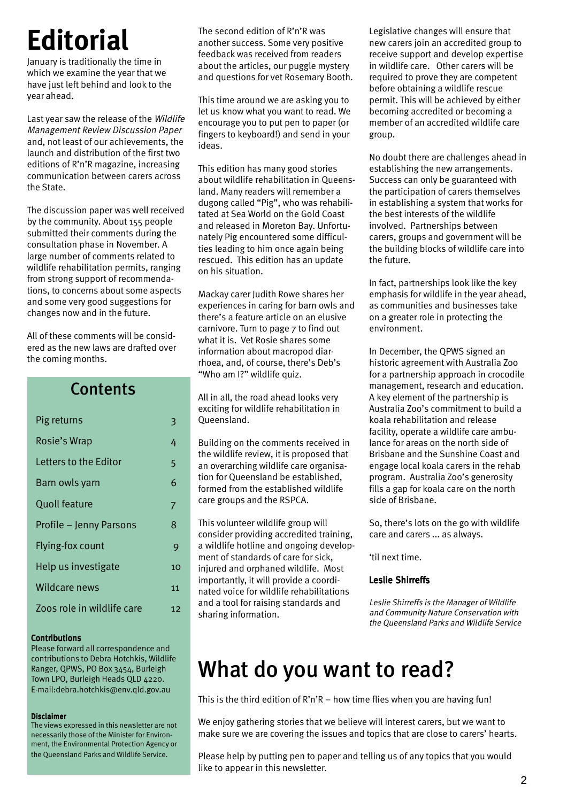# **Editorial**

January is traditionally the time in which we examine the year that we have just left behind and look to the year ahead.

Last year saw the release of the Wildlife Management Review Discussion Paper and, not least of our achievements, the launch and distribution of the first two editions of R'n'R magazine, increasing communication between carers across the State.

The discussion paper was well received by the community. About 155 people submitted their comments during the consultation phase in November. A large number of comments related to wildlife rehabilitation permits, ranging from strong support of recommendations, to concerns about some aspects and some very good suggestions for changes now and in the future.

All of these comments will be considered as the new laws are drafted over the coming months.

### **Contents**

| Pig returns                | 3  |
|----------------------------|----|
| Rosie's Wrap               | 4  |
| I etters to the Fditor     | 5  |
| Barn owls yarn             | 6  |
| <b>Quoll feature</b>       | 7  |
| Profile - Jenny Parsons    | 8  |
| Flying-fox count           | 9  |
| Help us investigate        | 10 |
| Wildcare news              | 11 |
| Zoos role in wildlife care | 12 |

### Contributions

Please forward all correspondence and contributions to Debra Hotchkis, Wildlife Ranger, QPWS, PO Box 3454, Burleigh Town LPO, Burleigh Heads QLD 4220. E-mail:debra.hotchkis@env.qld.gov.au

### Disclaimer

The views expressed in this newsletter are not necessarily those of the Minister for Environment, the Environmental Protection Agency or the Queensland Parks and Wildlife Service.

The second edition of R'n'R was another success. Some very positive feedback was received from readers about the articles, our puggle mystery and questions for vet Rosemary Booth.

This time around we are asking you to let us know what you want to read. We encourage you to put pen to paper (or fingers to keyboard!) and send in your ideas.

This edition has many good stories about wildlife rehabilitation in Queensland. Many readers will remember a dugong called "Pig", who was rehabilitated at Sea World on the Gold Coast and released in Moreton Bay. Unfortunately Pig encountered some difficulties leading to him once again being rescued. This edition has an update on his situation.

Mackay carer Judith Rowe shares her experiences in caring for barn owls and there's a feature article on an elusive carnivore. Turn to page 7 to find out what it is. Vet Rosie shares some information about macropod diarrhoea, and, of course, there's Deb's "Who am I?" wildlife quiz.

All in all, the road ahead looks very exciting for wildlife rehabilitation in Queensland.

Building on the comments received in the wildlife review, it is proposed that an overarching wildlife care organisation for Queensland be established, formed from the established wildlife care groups and the RSPCA.

This volunteer wildlife group will consider providing accredited training, a wildlife hotline and ongoing development of standards of care for sick, injured and orphaned wildlife. Most importantly, it will provide a coordinated voice for wildlife rehabilitations and a tool for raising standards and sharing information.

Legislative changes will ensure that new carers join an accredited group to receive support and develop expertise in wildlife care. Other carers will be required to prove they are competent before obtaining a wildlife rescue permit. This will be achieved by either becoming accredited or becoming a member of an accredited wildlife care group.

No doubt there are challenges ahead in establishing the new arrangements. Success can only be guaranteed with the participation of carers themselves in establishing a system that works for the best interests of the wildlife involved. Partnerships between carers, groups and government will be the building blocks of wildlife care into the future.

In fact, partnerships look like the key emphasis for wildlife in the year ahead, as communities and businesses take on a greater role in protecting the environment.

In December, the QPWS signed an historic agreement with Australia Zoo for a partnership approach in crocodile management, research and education. A key element of the partnership is Australia Zoo's commitment to build a koala rehabilitation and release facility, operate a wildlife care ambulance for areas on the north side of Brisbane and the Sunshine Coast and engage local koala carers in the rehab program. Australia Zoo's generosity fills a gap for koala care on the north side of Brisbane.

So, there's lots on the go with wildlife care and carers ... as always.

'til next time.

### Leslie Shirreffs

Leslie Shirreffs is the Manager of Wildlife and Community Nature Conservation with the Queensland Parks and Wildlife Service

# What do you want to read?

This is the third edition of R'n'R – how time flies when you are having fun!

We enjoy gathering stories that we believe will interest carers, but we want to make sure we are covering the issues and topics that are close to carers' hearts.

Please help by putting pen to paper and telling us of any topics that you would like to appear in this newsletter.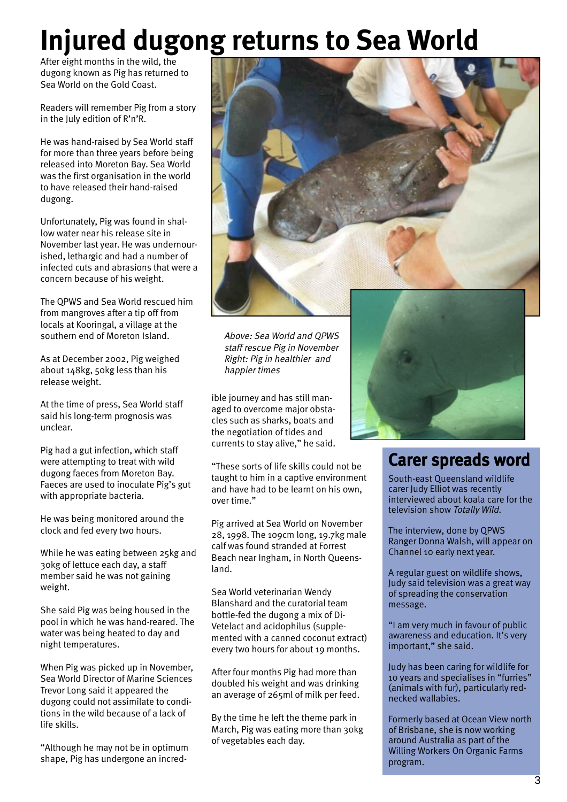# **Injured dugong returns to Sea World**

After eight months in the wild, the dugong known as Pig has returned to Sea World on the Gold Coast.

Readers will remember Pig from a story in the July edition of R'n'R.

He was hand-raised by Sea World staff for more than three years before being released into Moreton Bay. Sea World was the first organisation in the world to have released their hand-raised dugong.

Unfortunately, Pig was found in shallow water near his release site in November last year. He was undernourished, lethargic and had a number of infected cuts and abrasions that were a concern because of his weight.

The QPWS and Sea World rescued him from mangroves after a tip off from locals at Kooringal, a village at the southern end of Moreton Island.

As at December 2002, Pig weighed about 148kg, 50kg less than his release weight.

At the time of press, Sea World staff said his long-term prognosis was unclear.

Pig had a gut infection, which staff were attempting to treat with wild dugong faeces from Moreton Bay. Faeces are used to inoculate Pig's gut with appropriate bacteria.

He was being monitored around the clock and fed every two hours.

While he was eating between 25kg and 30kg of lettuce each day, a staff member said he was not gaining weight.

She said Pig was being housed in the pool in which he was hand-reared. The water was being heated to day and night temperatures.

When Pig was picked up in November, Sea World Director of Marine Sciences Trevor Long said it appeared the dugong could not assimilate to conditions in the wild because of a lack of life skills.

"Although he may not be in optimum shape, Pig has undergone an incred-



Above: Sea World and QPWS staff rescue Pig in November Right: Pig in healthier and happier times

ible journey and has still managed to overcome major obstacles such as sharks, boats and the negotiation of tides and currents to stay alive," he said.

"These sorts of life skills could not be taught to him in a captive environment and have had to be learnt on his own, over time."

Pig arrived at Sea World on November 28, 1998. The 109cm long, 19.7kg male calf was found stranded at Forrest Beach near Ingham, in North Queensland.

Sea World veterinarian Wendy Blanshard and the curatorial team bottle-fed the dugong a mix of Di-Vetelact and acidophilus (supplemented with a canned coconut extract) every two hours for about 19 months.

After four months Pig had more than doubled his weight and was drinking an average of 265ml of milk per feed.

By the time he left the theme park in March, Pig was eating more than 30kg of vegetables each day.



### Carer spreads word

South-east Queensland wildlife carer Judy Elliot was recently interviewed about koala care for the television show Totally Wild.

The interview, done by QPWS Ranger Donna Walsh, will appear on Channel 10 early next year.

A regular guest on wildlife shows, Judy said television was a great way of spreading the conservation message.

"I am very much in favour of public awareness and education. It's very important," she said.

Judy has been caring for wildlife for 10 years and specialises in "furries" (animals with fur), particularly rednecked wallabies.

Formerly based at Ocean View north of Brisbane, she is now working around Australia as part of the Willing Workers On Organic Farms program.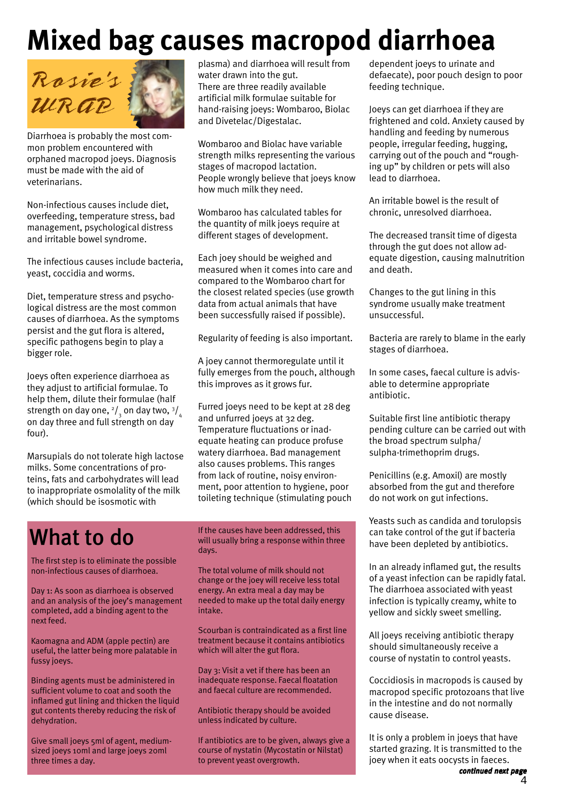# **Mixed bag causes macropod diarrhoea**



Diarrhoea is probably the most common problem encountered with orphaned macropod joeys. Diagnosis must be made with the aid of veterinarians.

Non-infectious causes include diet, overfeeding, temperature stress, bad management, psychological distress and irritable bowel syndrome.

The infectious causes include bacteria, yeast, coccidia and worms.

Diet, temperature stress and psychological distress are the most common causes of diarrhoea. As the symptoms persist and the gut flora is altered, specific pathogens begin to play a bigger role.

Joeys often experience diarrhoea as they adjust to artificial formulae. To help them, dilute their formulae (half strength on day one,  $^{2}/_{_{3}}$  on day two,  $^{3}/_{_{4}}$ on day three and full strength on day four).

Marsupials do not tolerate high lactose milks. Some concentrations of proteins, fats and carbohydrates will lead to inappropriate osmolality of the milk (which should be isosmotic with

plasma) and diarrhoea will result from water drawn into the gut. There are three readily available artificial milk formulae suitable for hand-raising joeys: Wombaroo, Biolac and Divetelac/Digestalac.

Wombaroo and Biolac have variable strength milks representing the various stages of macropod lactation. People wrongly believe that joeys know how much milk they need.

Wombaroo has calculated tables for the quantity of milk joeys require at different stages of development.

Each joey should be weighed and measured when it comes into care and compared to the Wombaroo chart for the closest related species (use growth data from actual animals that have been successfully raised if possible).

Regularity of feeding is also important.

A joey cannot thermoregulate until it fully emerges from the pouch, although this improves as it grows fur.

Furred joeys need to be kept at 28deg and unfurred joeys at 32deg. Temperature fluctuations or inadequate heating can produce profuse watery diarrhoea. Bad management also causes problems. This ranges from lack of routine, noisy environment, poor attention to hygiene, poor toileting technique (stimulating pouch

# What to do

The first step is to eliminate the possible non-infectious causes of diarrhoea.

Day 1: As soon as diarrhoea is observed and an analysis of the joey's management completed, add a binding agent to the next feed.

Kaomagna and ADM (apple pectin) are useful, the latter being more palatable in fussy joeys.

Binding agents must be administered in sufficient volume to coat and sooth the inflamed gut lining and thicken the liquid gut contents thereby reducing the risk of dehydration.

Give small joeys 5ml of agent, mediumsized joeys 10ml and large joeys 20ml three times a day.

If the causes have been addressed, this will usually bring a response within three days.

The total volume of milk should not change or the joey will receive less total energy. An extra meal a day may be needed to make up the total daily energy intake.

Scourban is contraindicated as a first line treatment because it contains antibiotics which will alter the gut flora.

Day 3: Visit a vet if there has been an inadequate response. Faecal floatation and faecal culture are recommended.

Antibiotic therapy should be avoided unless indicated by culture.

If antibiotics are to be given, always give a course of nystatin (Mycostatin or Nilstat) to prevent yeast overgrowth.

dependent joeys to urinate and defaecate), poor pouch design to poor feeding technique.

Joeys can get diarrhoea if they are frightened and cold. Anxiety caused by handling and feeding by numerous people, irregular feeding, hugging, carrying out of the pouch and "roughing up" by children or pets will also lead to diarrhoea.

An irritable bowel is the result of chronic, unresolved diarrhoea.

The decreased transit time of digesta through the gut does not allow adequate digestion, causing malnutrition and death.

Changes to the gut lining in this syndrome usually make treatment unsuccessful.

Bacteria are rarely to blame in the early stages of diarrhoea.

In some cases, faecal culture is advisable to determine appropriate antibiotic.

Suitable first line antibiotic therapy pending culture can be carried out with the broad spectrum sulpha/ sulpha-trimethoprim drugs.

Penicillins (e.g. Amoxil) are mostly absorbed from the gut and therefore do not work on gut infections.

Yeasts such as candida and torulopsis can take control of the gut if bacteria have been depleted by antibiotics.

In an already inflamed gut, the results of a yeast infection can be rapidly fatal. The diarrhoea associated with yeast infection is typically creamy, white to yellow and sickly sweet smelling.

All joeys receiving antibiotic therapy should simultaneously receive a course of nystatin to control yeasts.

Coccidiosis in macropods is caused by macropod specific protozoans that live in the intestine and do not normally cause disease.

It is only a problem in joeys that have started grazing. It is transmitted to the joey when it eats oocysts in faeces.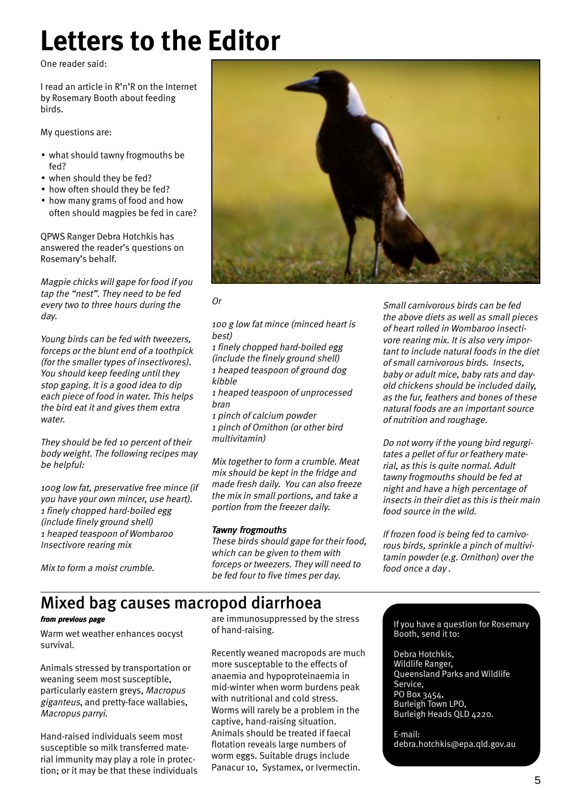# **Letters to the Editor**

One reader said:

I read an article in R'n'R on the Internet by Rosemary Booth about feeding birds.

My questions are:

- what should tawny frogmouths be fed?
- when should they be fed?
- how often should they be fed?
- how many grams of food and how often should magpies be fed in care?

QPWS Ranger Debra Hotchkis has answered the reader's questions on Rosemary's behalf.

Magpie chicks will gape for food if you tap the "nest". They need to be fed every two to three hours during the day.

Young birds can be fed with tweezers, forceps or the blunt end of a toothpick (for the smaller types of insectivores). You should keep feeding until they stop gaping. It is a good idea to dip each piece of food in water. This helps the bird eat it and gives them extra water.

They should be fed 10 percent of their body weight. The following recipes may be helpful:

100g low fat, preservative free mince (if you have your own mincer, use heart). 1 finely chopped hard-boiled egg (include finely ground shell) 1 heaped teaspoon of Wombaroo Insectivore rearing mix

Mix to form a moist crumble.



Or

### 100 g low fat mince (minced heart is best)

1 finely chopped hard-boiled egg (include the finely ground shell) 1 heaped teaspoon of ground dog kibble

1 heaped teaspoon of unprocessed bran

1 pinch of calcium powder 1 pinch of Ornithon (or other bird multivitamin)

Mix together to form a crumble. Meat mix should be kept in the fridge and made fresh daily. You can also freeze the mix in small portions, and take a portion from the freezer daily.

### Tawny frogmouths

These birds should gape for their food, which can be given to them with forceps or tweezers. They will need to be fed four to five times per day.

Small carnivorous birds can be fed the above diets as well as small pieces of heart rolled in Wombaroo insectivore rearing mix. It is also very important to include natural foods in the diet of small carnivorous birds. Insects, baby or adult mice, baby rats and dayold chickens should be included daily, as the fur, feathers and bones of these natural foods are an important source of nutrition and roughage.

Do not worry if the young bird regurgitates a pellet of fur or feathery material, as this is quite normal. Adult tawny frogmouths should be fed at night and have a high percentage of insects in their diet as this is their main food source in the wild.

If frozen food is being fed to carnivorous birds, sprinkle a pinch of multivitamin powder (e.g. Ornithon) over the food once a day .

### Mixed bag causes macropod diarrhoea

Warm wet weather enhances oocyst survival.

Animals stressed by transportation or weaning seem most susceptible, particularly eastern greys, Macropus giganteus, and pretty-face wallabies, Macropus parryi.

Hand-raised individuals seem most susceptible so milk transferred material immunity may play a role in protection; or it may be that these individuals

are immunosuppressed by the stress of hand-raising. **from previous page** The Term are immunosuppressed by the stress Term of the Street Sepannery

> Recently weaned macropods are much more susceptable to the effects of anaemia and hypoproteinaemia in mid-winter when worm burdens peak with nutritional and cold stress. Worms will rarely be a problem in the captive, hand-raising situation. Animals should be treated if faecal flotation reveals large numbers of worm eggs. Suitable drugs include Panacur 10, Systamex, or Ivermectin.

Booth, send it to:

Debra Hotchkis, Wildlife Ranger, Queensland Parks and Wildlife Service, PO Box 3454, Burleigh Town LPO, Burleigh Heads QLD 4220.

E-mail: debra.hotchkis@epa.qld.gov.au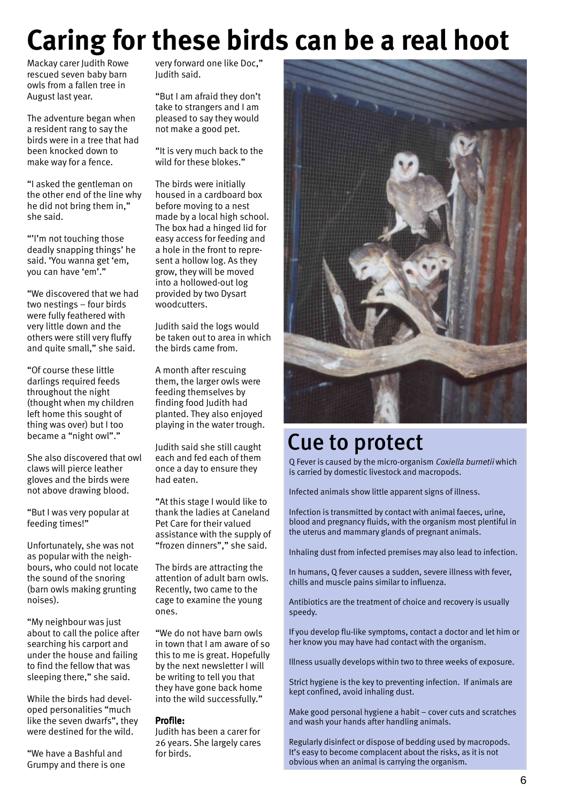# **Caring for these birds can be a real hoot**

Mackay carer Judith Rowe rescued seven baby barn owls from a fallen tree in August last year.

The adventure began when a resident rang to say the birds were in a tree that had been knocked down to make way for a fence.

"I asked the gentleman on the other end of the line why he did not bring them in," she said.

"'I'm not touching those deadly snapping things' he said. 'You wanna get 'em, you can have 'em'."

"We discovered that we had two nestings – four birds were fully feathered with very little down and the others were still very fluffy and quite small," she said.

"Of course these little darlings required feeds throughout the night (thought when my children left home this sought of thing was over) but I too became a "night owl"."

She also discovered that owl claws will pierce leather gloves and the birds were not above drawing blood.

"But I was very popular at feeding times!"

Unfortunately, she was not as popular with the neighbours, who could not locate the sound of the snoring (barn owls making grunting noises).

"My neighbour was just about to call the police after searching his carport and under the house and failing to find the fellow that was sleeping there," she said.

While the birds had developed personalities "much like the seven dwarfs", they were destined for the wild.

"We have a Bashful and Grumpy and there is one very forward one like Doc," Judith said.

"But I am afraid they don't take to strangers and I am pleased to say they would not make a good pet.

"It is very much back to the wild for these blokes."

The birds were initially housed in a cardboard box before moving to a nest made by a local high school. The box had a hinged lid for easy access for feeding and a hole in the front to represent a hollow log. As they grow, they will be moved into a hollowed-out log provided by two Dysart woodcutters.

Judith said the logs would be taken out to area in which the birds came from.

A month after rescuing them, the larger owls were feeding themselves by finding food Judith had planted. They also enjoyed playing in the water trough.

Judith said she still caught each and fed each of them once a day to ensure they had eaten.

"At this stage I would like to thank the ladies at Caneland Pet Care for their valued assistance with the supply of "frozen dinners"," she said.

The birds are attracting the attention of adult barn owls. Recently, two came to the cage to examine the young ones.

"We do not have barn owls in town that I am aware of so this to me is great. Hopefully by the next newsletter I will be writing to tell you that they have gone back home into the wild successfully."

### Profile:

Judith has been a carer for 26 years. She largely cares for birds.



## Cue to protect

Q Fever is caused by the micro-organism Coxiella burnetii which is carried by domestic livestock and macropods.

Infected animals show little apparent signs of illness.

Infection is transmitted by contact with animal faeces, urine, blood and pregnancy fluids, with the organism most plentiful in the uterus and mammary glands of pregnant animals.

Inhaling dust from infected premises may also lead to infection.

In humans, Q fever causes a sudden, severe illness with fever, chills and muscle pains similar to influenza.

Antibiotics are the treatment of choice and recovery is usually speedy.

If you develop flu-like symptoms, contact a doctor and let him or her know you may have had contact with the organism.

Illness usually develops within two to three weeks of exposure.

Strict hygiene is the key to preventing infection. If animals are kept confined, avoid inhaling dust.

Make good personal hygiene a habit – cover cuts and scratches and wash your hands after handling animals.

Regularly disinfect or dispose of bedding used by macropods. It's easy to become complacent about the risks, as it is not obvious when an animal is carrying the organism.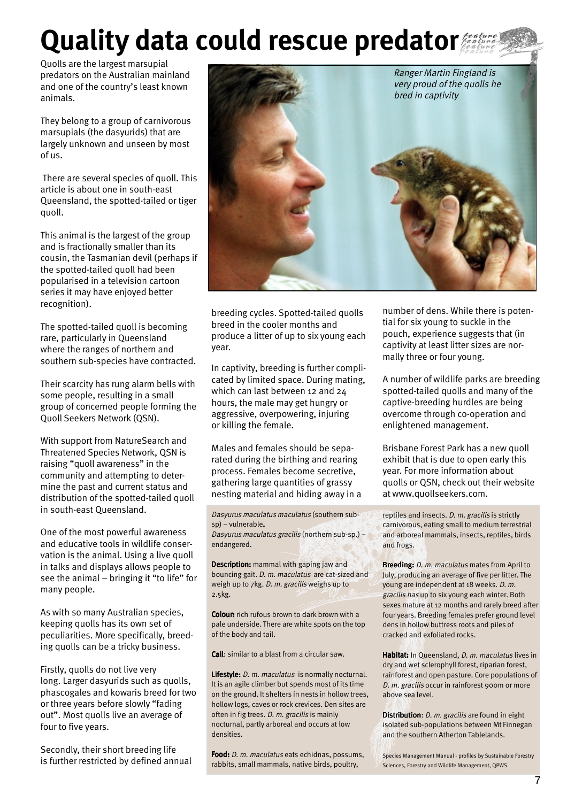# **Quality data could rescue predator**

Quolls are the largest marsupial predators on the Australian mainland and one of the country's least known animals.

They belong to a group of carnivorous marsupials (the dasyurids) that are largely unknown and unseen by most of us.

 There are several species of quoll. This article is about one in south-east Queensland, the spotted-tailed or tiger quoll.

This animal is the largest of the group and is fractionally smaller than its cousin, the Tasmanian devil (perhaps if the spotted-tailed quoll had been popularised in a television cartoon series it may have enjoyed better recognition).

The spotted-tailed quoll is becoming rare, particularly in Queensland where the ranges of northern and southern sub-species have contracted.

Their scarcity has rung alarm bells with some people, resulting in a small group of concerned people forming the Quoll Seekers Network (QSN).

With support from NatureSearch and Threatened Species Network, QSN is raising "quoll awareness" in the community and attempting to determine the past and current status and distribution of the spotted-tailed quoll in south-east Queensland.

One of the most powerful awareness and educative tools in wildlife conservation is the animal. Using a live quoll in talks and displays allows people to see the animal – bringing it "to life" for many people.

As with so many Australian species, keeping quolls has its own set of peculiarities. More specifically, breeding quolls can be a tricky business.

Firstly, quolls do not live very long. Larger dasyurids such as quolls, phascogales and kowaris breed for two or three years before slowly "fading out". Most quolls live an average of four to five years.

Secondly, their short breeding life is further restricted by defined annual



breeding cycles. Spotted-tailed quolls breed in the cooler months and produce a litter of up to six young each year.

In captivity, breeding is further complicated by limited space. During mating, which can last between 12 and 24 hours, the male may get hungry or aggressive, overpowering, injuring or killing the female.

Males and females should be separated during the birthing and rearing process. Females become secretive, gathering large quantities of grassy nesting material and hiding away in a

Dasyurus maculatus maculatus (southern subsp) – vulnerable. Dasyurus maculatus gracilis (northern sub-sp.) – endangered.

Description: mammal with gaping jaw and bouncing gait. D. m. maculatus are cat-sized and weigh up to 7kg. D. m. gracilis weighs up to 2.5kg.

Colour: rich rufous brown to dark brown with a pale underside. There are white spots on the top of the body and tail.

Call: similar to a blast from a circular saw.

Lifestyle: *D. m. maculatus* is normally nocturnal. It is an agile climber but spends most of its time on the ground. It shelters in nests in hollow trees, hollow logs, caves or rock crevices. Den sites are often in fig trees. D. m. gracilis is mainly nocturnal, partly arboreal and occurs at low densities.

Food: D. m. maculatus eats echidnas, possums, rabbits, small mammals, native birds, poultry,

number of dens. While there is potential for six young to suckle in the pouch, experience suggests that (in captivity at least litter sizes are normally three or four young.

A number of wildlife parks are breeding spotted-tailed quolls and many of the captive-breeding hurdles are being overcome through co-operation and enlightened management.

Brisbane Forest Park has a new quoll exhibit that is due to open early this year. For more information about quolls or QSN, check out their website at www.quollseekers.com.

reptiles and insects. D. m. gracilis is strictly carnivorous, eating small to medium terrestrial and arboreal mammals, insects, reptiles, birds and frogs.

Breeding: *D. m. maculatus* mates from April to July, producing an average of five per litter. The young are independent at 18 weeks. D. m. gracilis has up to six young each winter. Both sexes mature at 12 months and rarely breed after four years. Breeding females prefer ground level dens in hollow buttress roots and piles of cracked and exfoliated rocks.

Habitat: In Queensland, D. m. maculatus lives in dry and wet sclerophyll forest, riparian forest, rainforest and open pasture. Core populations of D. m. gracilis occur in rainforest 900m or more above sea level.

Distribution: D. m. gracilis are found in eight isolated sub-populations between Mt Finnegan and the southern Atherton Tablelands.

Species Management Manual - profiles by Sustainable Forestry Sciences, Forestry and Wildlife Management, QPWS.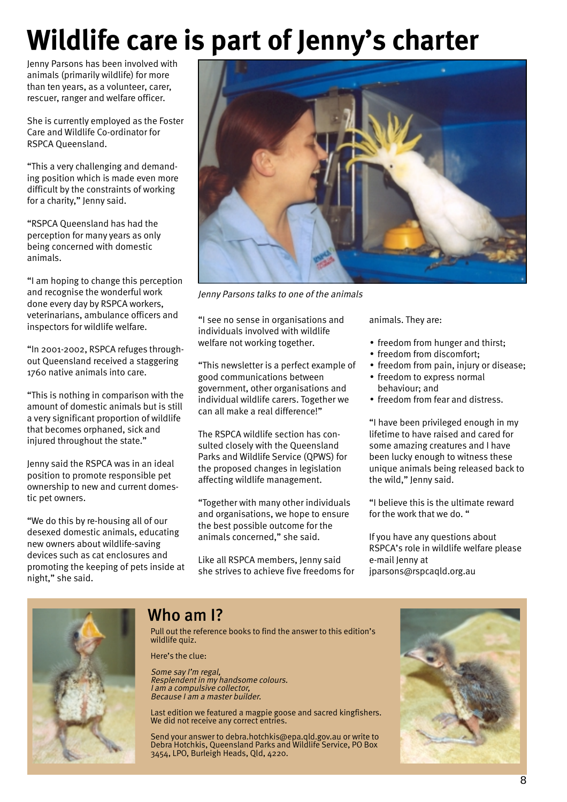# **Wildlife care is part of Jenny's charter**

Jenny Parsons has been involved with animals (primarily wildlife) for more than ten years, as a volunteer, carer, rescuer, ranger and welfare officer.

She is currently employed as the Foster Care and Wildlife Co-ordinator for RSPCA Queensland.

"This a very challenging and demanding position which is made even more difficult by the constraints of working for a charity," Jenny said.

"RSPCA Queensland has had the perception for many years as only being concerned with domestic animals.

"I am hoping to change this perception and recognise the wonderful work done every day by RSPCA workers, veterinarians, ambulance officers and inspectors for wildlife welfare.

"In 2001-2002, RSPCA refuges throughout Queensland received a staggering 1760 native animals into care.

"This is nothing in comparison with the amount of domestic animals but is still a very significant proportion of wildlife that becomes orphaned, sick and injured throughout the state."

Jenny said the RSPCA was in an ideal position to promote responsible pet ownership to new and current domestic pet owners.

"We do this by re-housing all of our desexed domestic animals, educating new owners about wildlife-saving devices such as cat enclosures and promoting the keeping of pets inside at night," she said.



Jenny Parsons talks to one of the animals

"I see no sense in organisations and individuals involved with wildlife welfare not working together.

"This newsletter is a perfect example of good communications between government, other organisations and individual wildlife carers. Together we can all make a real difference!"

The RSPCA wildlife section has consulted closely with the Queensland Parks and Wildlife Service (QPWS) for the proposed changes in legislation affecting wildlife management.

"Together with many other individuals and organisations, we hope to ensure the best possible outcome for the animals concerned," she said.

Like all RSPCA members, Jenny said she strives to achieve five freedoms for animals. They are:

- freedom from hunger and thirst;
- freedom from discomfort;
- freedom from pain, injury or disease;
- freedom to express normal behaviour; and
- freedom from fear and distress.

"I have been privileged enough in my lifetime to have raised and cared for some amazing creatures and I have been lucky enough to witness these unique animals being released back to the wild," Jenny said.

"I believe this is the ultimate reward for the work that we do. "

If you have any questions about RSPCA's role in wildlife welfare please e-mail Jenny at jparsons@rspcaqld.org.au



### Who am I?

Pull out the reference books to find the answer to this edition's wildlife quiz.

Here's the clue:

Some say I'm regal, Resplendent in my handsome colours. I am a compulsive collector, Because I am a master builder.

Last edition we featured a magpie goose and sacred kingfishers. We did not receive any correct entries.

Send your answer to debra.hotchkis@epa.qld.gov.au or write to Debra Hotchkis, Queensland Parks and Wildlife Service, PO Box 3454, LPO, Burleigh Heads, Qld, 4220.

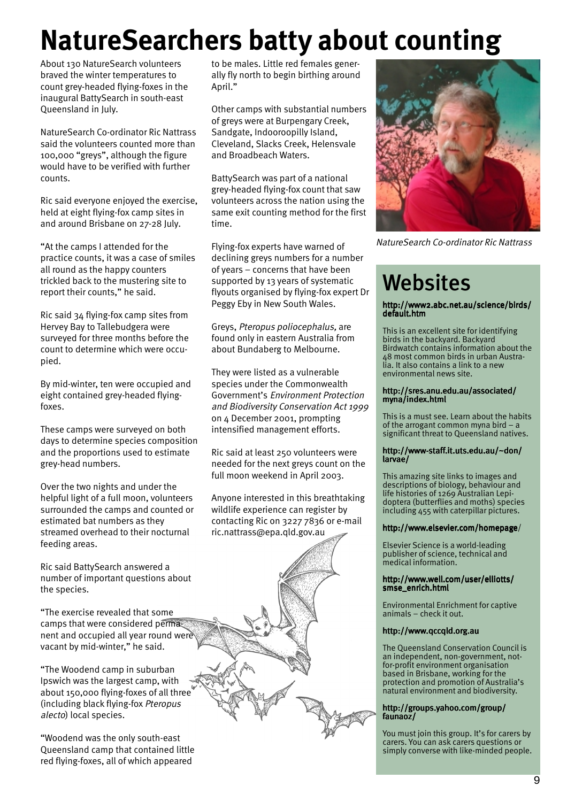# **NatureSearchers batty about counting**

About 130 NatureSearch volunteers braved the winter temperatures to count grey-headed flying-foxes in the inaugural BattySearch in south-east Queensland in July.

NatureSearch Co-ordinator Ric Nattrass said the volunteers counted more than 100,000 "greys", although the figure would have to be verified with further counts.

Ric said everyone enjoyed the exercise, held at eight flying-fox camp sites in and around Brisbane on 27-28 July.

"At the camps I attended for the practice counts, it was a case of smiles all round as the happy counters trickled back to the mustering site to report their counts," he said.

Ric said 34 flying-fox camp sites from Hervey Bay to Tallebudgera were surveyed for three months before the count to determine which were occupied.

By mid-winter, ten were occupied and eight contained grey-headed flyingfoxes.

These camps were surveyed on both days to determine species composition and the proportions used to estimate grey-head numbers.

Over the two nights and under the helpful light of a full moon, volunteers surrounded the camps and counted or estimated bat numbers as they streamed overhead to their nocturnal feeding areas.

Ric said BattySearch answered a number of important questions about the species.

"The exercise revealed that some camps that were considered permanent and occupied all year round were vacant by mid-winter," he said.

"The Woodend camp in suburban Ipswich was the largest camp, with about 150,000 flying-foxes of all three (including black flying-fox Pteropus alecto) local species.

"Woodend was the only south-east Queensland camp that contained little red flying-foxes, all of which appeared

to be males. Little red females generally fly north to begin birthing around April."

Other camps with substantial numbers of greys were at Burpengary Creek, Sandgate, Indooroopilly Island, Cleveland, Slacks Creek, Helensvale and Broadbeach Waters.

BattySearch was part of a national grey-headed flying-fox count that saw volunteers across the nation using the same exit counting method for the first time.

Flying-fox experts have warned of declining greys numbers for a number of years – concerns that have been supported by 13 years of systematic flyouts organised by flying-fox expert Dr Peggy Eby in New South Wales.

Greys, Pteropus poliocephalus, are found only in eastern Australia from about Bundaberg to Melbourne.

They were listed as a vulnerable species under the Commonwealth Government's Environment Protection and Biodiversity Conservation Act 1999 on 4 December 2001, prompting intensified management efforts.

Ric said at least 250 volunteers were needed for the next greys count on the full moon weekend in April 2003.

Anyone interested in this breathtaking wildlife experience can register by contacting Ric on 3227 7836 or e-mail ric.nattrass@epa.qld.gov.au



NatureSearch Co-ordinator Ric Nattrass

# **Websites**

http://www2.abc.net.au/science/birds/ default.htm

This is an excellent site for identifying birds in the backyard. Backyard Birdwatch contains information about the 48 most common birds in urban Australia. It also contains a link to a new environmental news site.

### http://sres.anu.edu.au/associated/ myna/index.html

This is a must see. Learn about the habits of the arrogant common myna bird – a significant threat to Queensland natives.

### http://www-staff.it.uts.edu.au/~don/ larvae/

This amazing site links to images and descriptions of biology, behaviour and life histories of 1269 Australian Lepidoptera (butterflies and moths) species including 455 with caterpillar pictures.

### http://www.elsevier.com/homepage/

Elsevier Science is a world-leading publisher of science, technical and medical information.

### http://www.well.com/user/elliotts/ smse\_enrich.html

Environmental Enrichment for captive animals – check it out.

### http://www.qccqld.org.au

The Queensland Conservation Council is an independent, non-government, notfor-profit environment organisation based in Brisbane, working for the protection and promotion of Australia's natural environment and biodiversity.

### http://groups.yahoo.com/group/ faunaoz/

You must join this group. It's for carers by carers. You can ask carers questions or simply converse with like-minded people.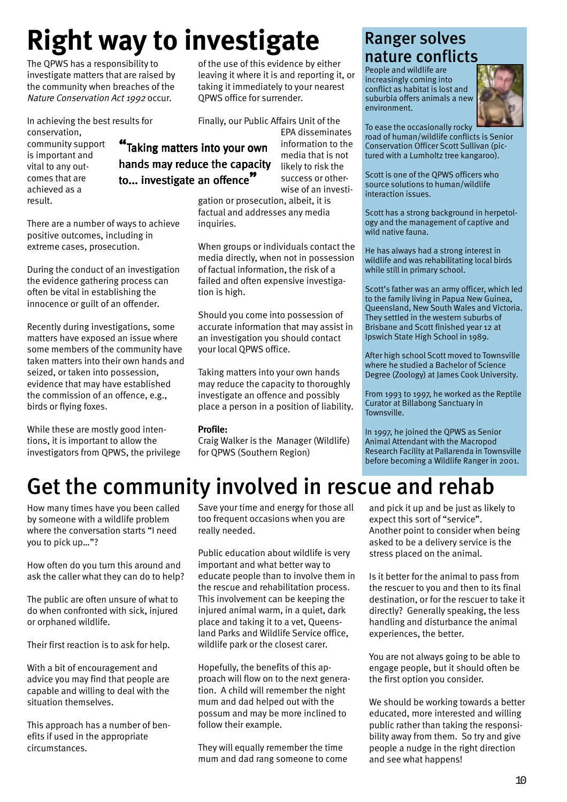# **Right way to investigate**

The QPWS has a responsibility to investigate matters that are raised by the community when breaches of the Nature Conservation Act 1992 occur.

In achieving the best results for conservation, community support is important and vital to any outcomes that are achieved as a result.

There are a number of ways to achieve positive outcomes, including in extreme cases, prosecution.

During the conduct of an investigation the evidence gathering process can often be vital in establishing the innocence or guilt of an offender.

Recently during investigations, some matters have exposed an issue where some members of the community have taken matters into their own hands and seized, or taken into possession, evidence that may have established the commission of an offence, e.g., birds or flying foxes.

While these are mostly good intentions, it is important to allow the investigators from QPWS, the privilege of the use of this evidence by either leaving it where it is and reporting it, or taking it immediately to your nearest QPWS office for surrender.

Finally, our Public Affairs Unit of the

"Taking matters into your own hands may reduce the capacity to... investigate an offence $\rlap{?}''$ 

EPA disseminates information to the media that is not likely to risk the success or otherwise of an investi-

gation or prosecution, albeit, it is factual and addresses any media inquiries.

When groups or individuals contact the media directly, when not in possession of factual information, the risk of a failed and often expensive investigation is high.

Should you come into possession of accurate information that may assist in an investigation you should contact your local QPWS office.

Taking matters into your own hands may reduce the capacity to thoroughly investigate an offence and possibly place a person in a position of liability.

### Profile:

Craig Walker is the Manager (Wildlife) for QPWS (Southern Region)

### Ranger solves nature conflicts

People and wildlife are increasingly coming into conflict as habitat is lost and suburbia offers animals a new environment.



To ease the occasionally rocky road of human/wildlife conflicts is Senior Conservation Officer Scott Sullivan (pictured with a Lumholtz tree kangaroo).

Scott is one of the QPWS officers who source solutions to human/wildlife interaction issues.

Scott has a strong background in herpetology and the management of captive and wild native fauna.

He has always had a strong interest in wildlife and was rehabilitating local birds while still in primary school.

Scott's father was an army officer, which led to the family living in Papua New Guinea, Queensland, New South Wales and Victoria. They settled in the western suburbs of Brisbane and Scott finished year 12 at Ipswich State High School in 1989.

After high school Scott moved to Townsville where he studied a Bachelor of Science Degree (Zoology) at James Cook University.

From 1993 to 1997, he worked as the Reptile Curator at Billabong Sanctuary in Townsville.

In 1997, he joined the QPWS as Senior Animal Attendant with the Macropod Research Facility at Pallarenda in Townsville before becoming a Wildlife Ranger in 2001.

# Get the community involved in rescue and rehab

How many times have you been called by someone with a wildlife problem where the conversation starts "I need you to pick up…"?

How often do you turn this around and ask the caller what they can do to help?

The public are often unsure of what to do when confronted with sick, injured or orphaned wildlife.

Their first reaction is to ask for help.

With a bit of encouragement and advice you may find that people are capable and willing to deal with the situation themselves.

This approach has a number of benefits if used in the appropriate circumstances.

Save your time and energy for those all too frequent occasions when you are really needed.

Public education about wildlife is very important and what better way to educate people than to involve them in the rescue and rehabilitation process. This involvement can be keeping the injured animal warm, in a quiet, dark place and taking it to a vet, Queensland Parks and Wildlife Service office, wildlife park or the closest carer.

Hopefully, the benefits of this approach will flow on to the next generation. A child will remember the night mum and dad helped out with the possum and may be more inclined to follow their example.

They will equally remember the time mum and dad rang someone to come

and pick it up and be just as likely to expect this sort of "service". Another point to consider when being asked to be a delivery service is the stress placed on the animal.

Is it better for the animal to pass from the rescuer to you and then to its final destination, or for the rescuer to take it directly? Generally speaking, the less handling and disturbance the animal experiences, the better.

You are not always going to be able to engage people, but it should often be the first option you consider.

We should be working towards a better educated, more interested and willing public rather than taking the responsibility away from them. So try and give people a nudge in the right direction and see what happens!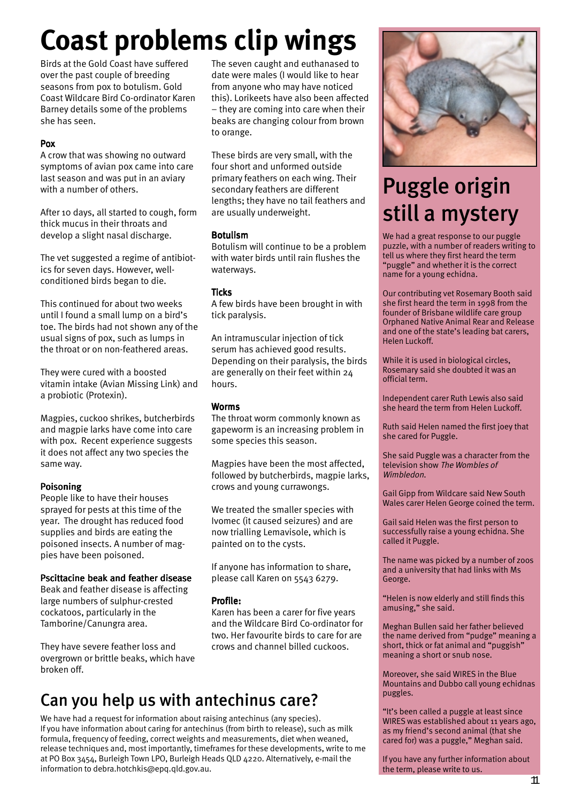# **Coast problems clip wings**

Birds at the Gold Coast have suffered over the past couple of breeding seasons from pox to botulism. Gold Coast Wildcare Bird Co-ordinator Karen Barney details some of the problems she has seen.

### Pox

A crow that was showing no outward symptoms of avian pox came into care last season and was put in an aviary with a number of others.

After 10 days, all started to cough, form thick mucus in their throats and develop a slight nasal discharge.

The vet suggested a regime of antibiotics for seven days. However, wellconditioned birds began to die.

This continued for about two weeks until I found a small lump on a bird's toe. The birds had not shown any of the usual signs of pox, such as lumps in the throat or on non-feathered areas.

They were cured with a boosted vitamin intake (Avian Missing Link) and a probiotic (Protexin).

Magpies, cuckoo shrikes, butcherbirds and magpie larks have come into care with pox. Recent experience suggests it does not affect any two species the same way.

### Poisoning

People like to have their houses sprayed for pests at this time of the year. The drought has reduced food supplies and birds are eating the poisoned insects. A number of magpies have been poisoned.

### Pscittacine beak and feather disease

Beak and feather disease is affecting large numbers of sulphur-crested cockatoos, particularly in the Tamborine/Canungra area.

They have severe feather loss and overgrown or brittle beaks, which have broken off.

The seven caught and euthanased to date were males (I would like to hear from anyone who may have noticed this). Lorikeets have also been affected – they are coming into care when their beaks are changing colour from brown to orange.

These birds are very small, with the four short and unformed outside primary feathers on each wing. Their secondary feathers are different lengths; they have no tail feathers and are usually underweight.

### Botulism

Botulism will continue to be a problem with water birds until rain flushes the waterways.

### **Ticks**

A few birds have been brought in with tick paralysis.

An intramuscular injection of tick serum has achieved good results. Depending on their paralysis, the birds are generally on their feet within 24 hours.

### Worms

The throat worm commonly known as gapeworm is an increasing problem in some species this season.

Magpies have been the most affected, followed by butcherbirds, magpie larks, crows and young currawongs.

We treated the smaller species with Ivomec (it caused seizures) and are now trialling Lemavisole, which is painted on to the cysts.

If anyone has information to share, please call Karen on 5543 6279.

### Profile:

Karen has been a carer for five years and the Wildcare Bird Co-ordinator for two. Her favourite birds to care for are crows and channel billed cuckoos.

### Can you help us with antechinus care?

We have had a request for information about raising antechinus (any species). If you have information about caring for antechinus (from birth to release), such as milk formula, frequency of feeding, correct weights and measurements, diet when weaned, release techniques and, most importantly, timeframes for these developments, write to me at PO Box 3454, Burleigh Town LPO, Burleigh Heads QLD 4220. Alternatively, e-mail the information to debra.hotchkis@epq.qld.gov.au.



# Puggle origin still a mystery

We had a great response to our puggle puzzle, with a number of readers writing to tell us where they first heard the term "puggle" and whether it is the correct name for a young echidna.

Our contributing vet Rosemary Booth said she first heard the term in 1998 from the founder of Brisbane wildlife care group Orphaned Native Animal Rear and Release and one of the state's leading bat carers, Helen Luckoff.

While it is used in biological circles, Rosemary said she doubted it was an official term.

Independent carer Ruth Lewis also said she heard the term from Helen Luckoff.

Ruth said Helen named the first joey that she cared for Puggle.

She said Puggle was a character from the television show The Wombles of Wimbledon.

Gail Gipp from Wildcare said New South Wales carer Helen George coined the term.

Gail said Helen was the first person to successfully raise a young echidna. She called it Puggle.

The name was picked by a number of zoos and a university that had links with Ms George.

"Helen is now elderly and still finds this amusing," she said.

Meghan Bullen said her father believed the name derived from "pudge" meaning a short, thick or fat animal and "puggish" meaning a short or snub nose.

Moreover, she said WIRES in the Blue Mountains and Dubbo call young echidnas puggles.

"It's been called a puggle at least since WIRES was established about 11 years ago, as my friend's second animal (that she cared for) was a puggle," Meghan said.

If you have any further information about the term, please write to us.